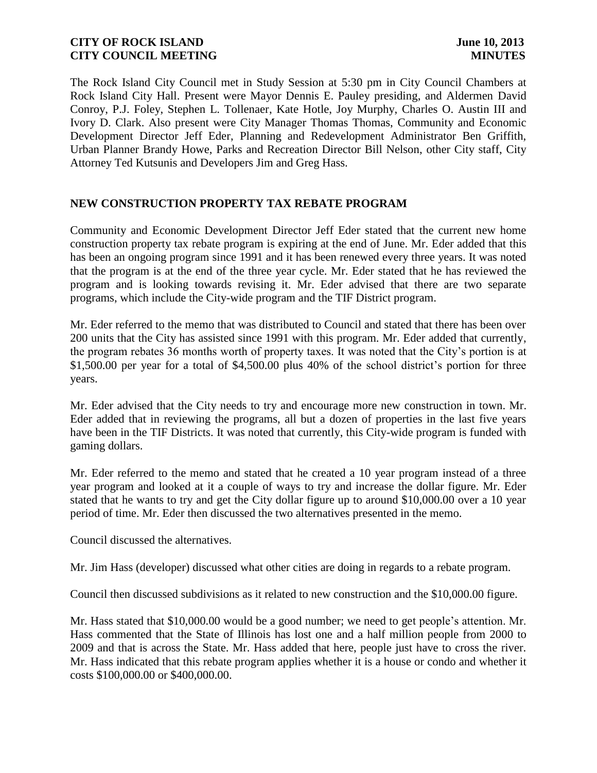The Rock Island City Council met in Study Session at 5:30 pm in City Council Chambers at Rock Island City Hall. Present were Mayor Dennis E. Pauley presiding, and Aldermen David Conroy, P.J. Foley, Stephen L. Tollenaer, Kate Hotle, Joy Murphy, Charles O. Austin III and Ivory D. Clark. Also present were City Manager Thomas Thomas, Community and Economic Development Director Jeff Eder, Planning and Redevelopment Administrator Ben Griffith, Urban Planner Brandy Howe, Parks and Recreation Director Bill Nelson, other City staff, City Attorney Ted Kutsunis and Developers Jim and Greg Hass.

# **NEW CONSTRUCTION PROPERTY TAX REBATE PROGRAM**

Community and Economic Development Director Jeff Eder stated that the current new home construction property tax rebate program is expiring at the end of June. Mr. Eder added that this has been an ongoing program since 1991 and it has been renewed every three years. It was noted that the program is at the end of the three year cycle. Mr. Eder stated that he has reviewed the program and is looking towards revising it. Mr. Eder advised that there are two separate programs, which include the City-wide program and the TIF District program.

Mr. Eder referred to the memo that was distributed to Council and stated that there has been over 200 units that the City has assisted since 1991 with this program. Mr. Eder added that currently, the program rebates 36 months worth of property taxes. It was noted that the City's portion is at \$1,500.00 per year for a total of \$4,500.00 plus 40% of the school district's portion for three years.

Mr. Eder advised that the City needs to try and encourage more new construction in town. Mr. Eder added that in reviewing the programs, all but a dozen of properties in the last five years have been in the TIF Districts. It was noted that currently, this City-wide program is funded with gaming dollars.

Mr. Eder referred to the memo and stated that he created a 10 year program instead of a three year program and looked at it a couple of ways to try and increase the dollar figure. Mr. Eder stated that he wants to try and get the City dollar figure up to around \$10,000.00 over a 10 year period of time. Mr. Eder then discussed the two alternatives presented in the memo.

Council discussed the alternatives.

Mr. Jim Hass (developer) discussed what other cities are doing in regards to a rebate program.

Council then discussed subdivisions as it related to new construction and the \$10,000.00 figure.

Mr. Hass stated that \$10,000.00 would be a good number; we need to get people's attention. Mr. Hass commented that the State of Illinois has lost one and a half million people from 2000 to 2009 and that is across the State. Mr. Hass added that here, people just have to cross the river. Mr. Hass indicated that this rebate program applies whether it is a house or condo and whether it costs \$100,000.00 or \$400,000.00.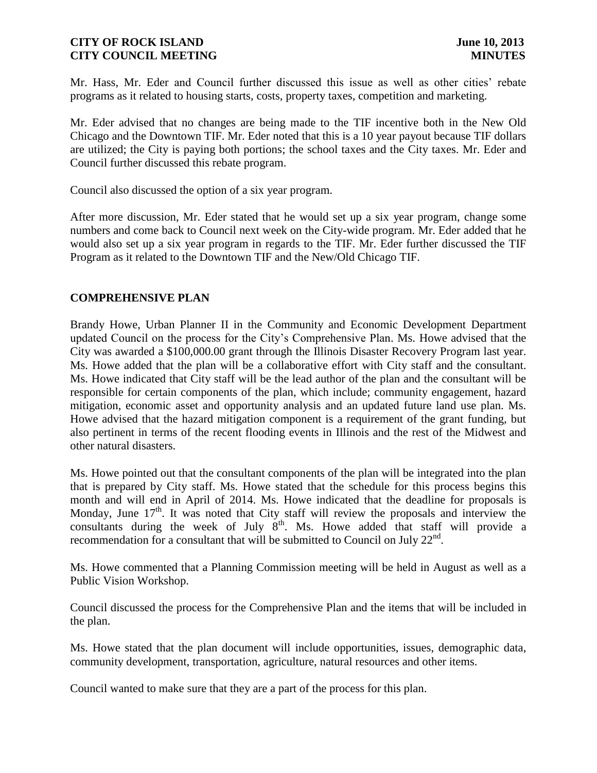Mr. Hass, Mr. Eder and Council further discussed this issue as well as other cities' rebate programs as it related to housing starts, costs, property taxes, competition and marketing.

Mr. Eder advised that no changes are being made to the TIF incentive both in the New Old Chicago and the Downtown TIF. Mr. Eder noted that this is a 10 year payout because TIF dollars are utilized; the City is paying both portions; the school taxes and the City taxes. Mr. Eder and Council further discussed this rebate program.

Council also discussed the option of a six year program.

After more discussion, Mr. Eder stated that he would set up a six year program, change some numbers and come back to Council next week on the City-wide program. Mr. Eder added that he would also set up a six year program in regards to the TIF. Mr. Eder further discussed the TIF Program as it related to the Downtown TIF and the New/Old Chicago TIF.

### **COMPREHENSIVE PLAN**

Brandy Howe, Urban Planner II in the Community and Economic Development Department updated Council on the process for the City's Comprehensive Plan. Ms. Howe advised that the City was awarded a \$100,000.00 grant through the Illinois Disaster Recovery Program last year. Ms. Howe added that the plan will be a collaborative effort with City staff and the consultant. Ms. Howe indicated that City staff will be the lead author of the plan and the consultant will be responsible for certain components of the plan, which include; community engagement, hazard mitigation, economic asset and opportunity analysis and an updated future land use plan. Ms. Howe advised that the hazard mitigation component is a requirement of the grant funding, but also pertinent in terms of the recent flooding events in Illinois and the rest of the Midwest and other natural disasters.

Ms. Howe pointed out that the consultant components of the plan will be integrated into the plan that is prepared by City staff. Ms. Howe stated that the schedule for this process begins this month and will end in April of 2014. Ms. Howe indicated that the deadline for proposals is Monday, June  $17<sup>th</sup>$ . It was noted that City staff will review the proposals and interview the consultants during the week of July  $8<sup>th</sup>$ . Ms. Howe added that staff will provide a recommendation for a consultant that will be submitted to Council on July  $22<sup>nd</sup>$ .

Ms. Howe commented that a Planning Commission meeting will be held in August as well as a Public Vision Workshop.

Council discussed the process for the Comprehensive Plan and the items that will be included in the plan.

Ms. Howe stated that the plan document will include opportunities, issues, demographic data, community development, transportation, agriculture, natural resources and other items.

Council wanted to make sure that they are a part of the process for this plan.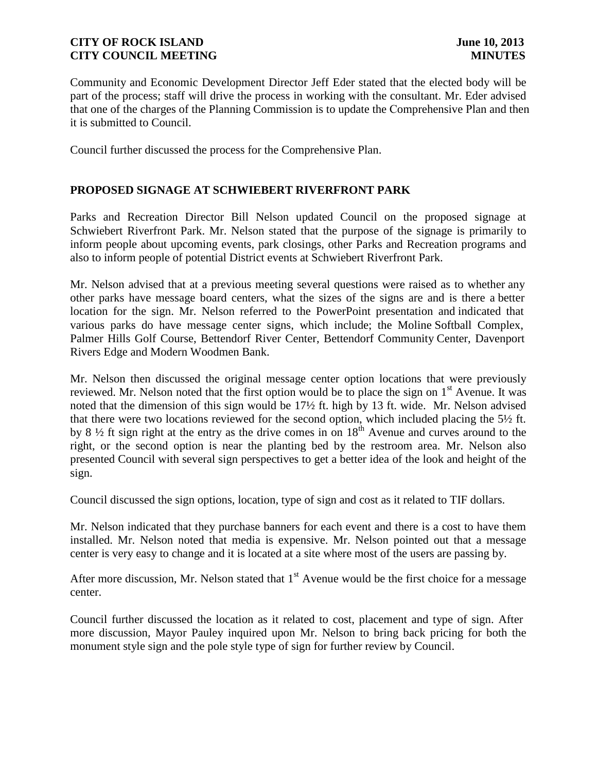Community and Economic Development Director Jeff Eder stated that the elected body will be part of the process; staff will drive the process in working with the consultant. Mr. Eder advised that one of the charges of the Planning Commission is to update the Comprehensive Plan and then it is submitted to Council.

Council further discussed the process for the Comprehensive Plan.

# **PROPOSED SIGNAGE AT SCHWIEBERT RIVERFRONT PARK**

Parks and Recreation Director Bill Nelson updated Council on the proposed signage at Schwiebert Riverfront Park. Mr. Nelson stated that the purpose of the signage is primarily to inform people about upcoming events, park closings, other Parks and Recreation programs and also to inform people of potential District events at Schwiebert Riverfront Park.

Mr. Nelson advised that at a previous meeting several questions were raised as to whether any other parks have message board centers, what the sizes of the signs are and is there a better location for the sign. Mr. Nelson referred to the PowerPoint presentation and indicated that various parks do have message center signs, which include; the Moline Softball Complex, Palmer Hills Golf Course, Bettendorf River Center, Bettendorf Community Center, Davenport Rivers Edge and Modern Woodmen Bank.

reviewed. Mr. Nelson noted that the first option would be to place the sign on 1<sup>st</sup> Avenue. It was noted that the dimension of this sign would be 17½ ft. high by 13 ft. wide. Mr. Nelson advised that there were two locations reviewed for the second option, which included placing the 5½ ft. by 8  $\frac{1}{2}$  ft sign right at the entry as the drive comes in on 18<sup>th</sup> Avenue and curves around to the right, or the second option is near the planting bed by the restroom area. Mr. Nelson also presented Council with several sign perspectives to get a better idea of the look and height of the sign. Mr. Nelson then discussed the original message center option locations that were previously

Council discussed the sign options, location, type of sign and cost as it related to TIF dollars.

Mr. Nelson indicated that they purchase banners for each event and there is a cost to have them installed. Mr. Nelson noted that media is expensive. Mr. Nelson pointed out that a message center is very easy to change and it is located at a site where most of the users are passing by.

After more discussion, Mr. Nelson stated that  $1<sup>st</sup>$  Avenue would be the first choice for a message center.

Council further discussed the location as it related to cost, placement and type of sign. After more discussion, Mayor Pauley inquired upon Mr. Nelson to bring back pricing for both the monument style sign and the pole style type of sign for further review by Council.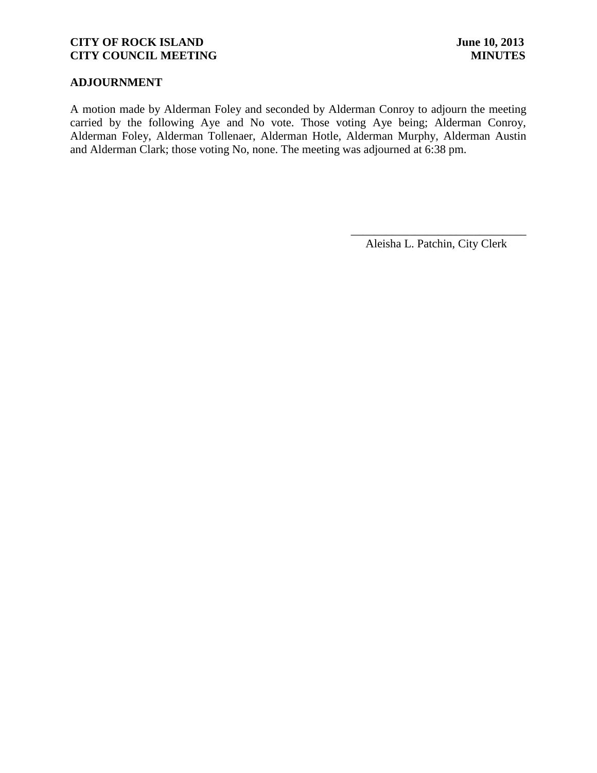# **ADJOURNMENT**

A motion made by Alderman Foley and seconded by Alderman Conroy to adjourn the meeting carried by the following Aye and No vote. Those voting Aye being; Alderman Conroy, Alderman Foley, Alderman Tollenaer, Alderman Hotle, Alderman Murphy, Alderman Austin and Alderman Clark; those voting No, none. The meeting was adjourned at 6:38 pm.

\_\_\_\_\_\_\_\_\_\_\_\_\_\_\_\_\_\_\_\_\_\_\_\_\_\_\_\_\_\_ Aleisha L. Patchin, City Clerk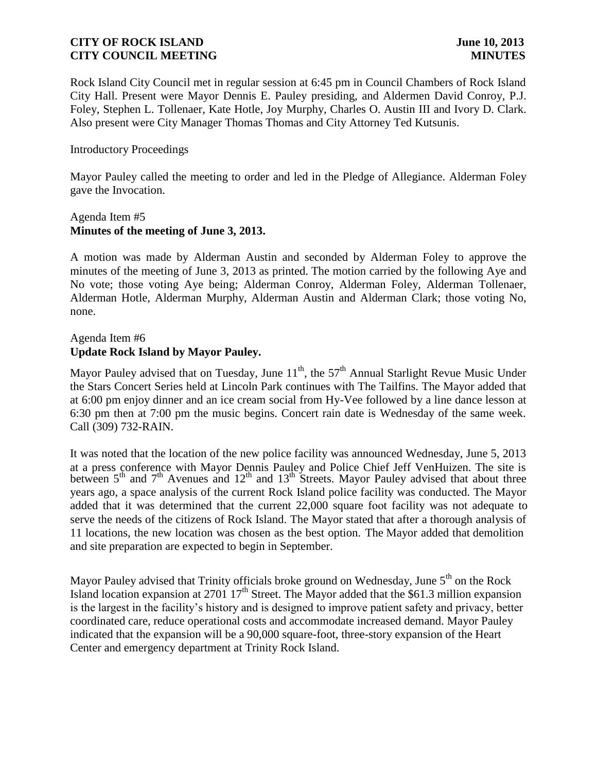Rock Island City Council met in regular session at 6:45 pm in Council Chambers of Rock Island City Hall. Present were Mayor Dennis E. Pauley presiding, and Aldermen David Conroy, P.J. Foley, Stephen L. Tollenaer, Kate Hotle, Joy Murphy, Charles O. Austin III and Ivory D. Clark. Also present were City Manager Thomas Thomas and City Attorney Ted Kutsunis.

### Introductory Proceedings

Mayor Pauley called the meeting to order and led in the Pledge of Allegiance. Alderman Foley gave the Invocation.

### Agenda Item #5 **Minutes of the meeting of June 3, 2013.**

A motion was made by Alderman Austin and seconded by Alderman Foley to approve the minutes of the meeting of June 3, 2013 as printed. The motion carried by the following Aye and No vote; those voting Aye being; Alderman Conroy, Alderman Foley, Alderman Tollenaer, Alderman Hotle, Alderman Murphy, Alderman Austin and Alderman Clark; those voting No, none.

### Agenda Item #6 **Update Rock Island by Mayor Pauley.**

Mayor Pauley advised that on Tuesday, June  $11<sup>th</sup>$ , the 57<sup>th</sup> Annual Starlight Revue Music Under the Stars Concert Series held at Lincoln Park continues with The Tailfins. The Mayor added that at 6:00 pm enjoy dinner and an ice cream social from Hy-Vee followed by a line dance lesson at 6:30 pm then at 7:00 pm the music begins. Concert rain date is Wednesday of the same week. Call (309) 732-RAIN.

between  $5<sup>th</sup>$  and  $7<sup>th</sup>$  Avenues and  $12<sup>th</sup>$  and  $13<sup>th</sup>$  Streets. Mayor Pauley advised that about three years ago, a space analysis of the current Rock Island police facility was conducted. The Mayor added that it was determined that the current 22,000 square foot facility was not adequate to serve the needs of the citizens of Rock Island. The Mayor stated that after a thorough analysis of 11 locations, the new location was chosen as the best option. The Mayor added that demolition and site preparation are expected to begin in September. It was noted that the location of the new police facility was announced Wednesday, June 5, 2013 at a press conference with Mayor Dennis Pauley and Police Chief Jeff VenHuizen. The site is

Mayor Pauley advised that Trinity officials broke ground on Wednesday, June  $5<sup>th</sup>$  on the Rock Island location expansion at 2701  $17<sup>th</sup>$  Street. The Mayor added that the \$61.3 million expansion is the largest in the facility's history and is designed to improve patient safety and privacy, better coordinated care, reduce operational costs and accommodate increased demand. Mayor Pauley indicated that the expansion will be a 90,000 square-foot, three-story expansion of the Heart Center and emergency department at Trinity Rock Island.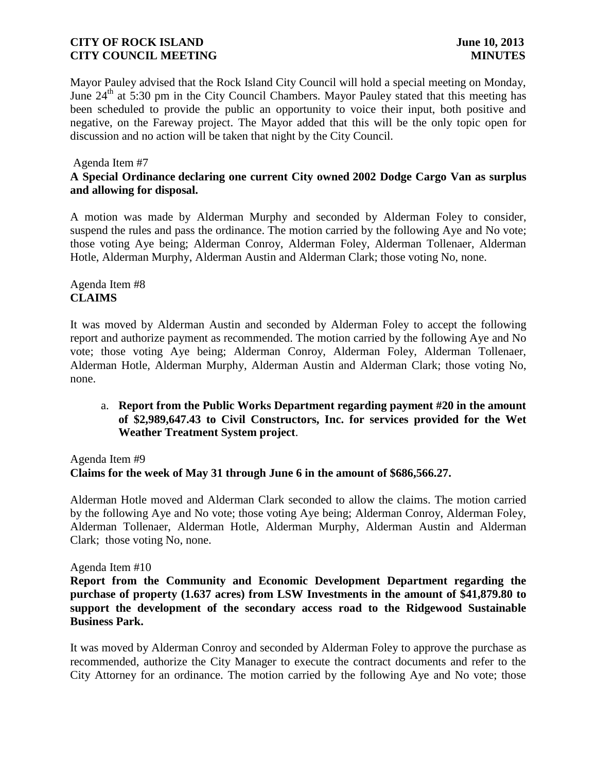Mayor Pauley advised that the Rock Island City Council will hold a special meeting on Monday, June  $24<sup>th</sup>$  at 5:30 pm in the City Council Chambers. Mayor Pauley stated that this meeting has been scheduled to provide the public an opportunity to voice their input, both positive and negative, on the Fareway project. The Mayor added that this will be the only topic open for discussion and no action will be taken that night by the City Council.

### Agenda Item #7

# **A Special Ordinance declaring one current City owned 2002 Dodge Cargo Van as surplus and allowing for disposal.**

A motion was made by Alderman Murphy and seconded by Alderman Foley to consider, suspend the rules and pass the ordinance. The motion carried by the following Aye and No vote; those voting Aye being; Alderman Conroy, Alderman Foley, Alderman Tollenaer, Alderman Hotle, Alderman Murphy, Alderman Austin and Alderman Clark; those voting No, none.

# Agenda Item #8 **CLAIMS**

It was moved by Alderman Austin and seconded by Alderman Foley to accept the following report and authorize payment as recommended. The motion carried by the following Aye and No vote; those voting Aye being; Alderman Conroy, Alderman Foley, Alderman Tollenaer, Alderman Hotle, Alderman Murphy, Alderman Austin and Alderman Clark; those voting No, none.

## a. **Report from the Public Works Department regarding payment #20 in the amount of \$2,989,647.43 to Civil Constructors, Inc. for services provided for the Wet Weather Treatment System project**.

Agenda Item #9 **Claims for the week of May 31 through June 6 in the amount of \$686,566.27.** 

 Alderman Hotle moved and Alderman Clark seconded to allow the claims. The motion carried by the following Aye and No vote; those voting Aye being; Alderman Conroy, Alderman Foley, Alderman Tollenaer, Alderman Hotle, Alderman Murphy, Alderman Austin and Alderman Clark; those voting No, none.

### Agenda Item #10

**Report from the Community and Economic Development Department regarding the purchase of property (1.637 acres) from LSW Investments in the amount of \$41,879.80 to support the development of the secondary access road to the Ridgewood Sustainable Business Park.**

It was moved by Alderman Conroy and seconded by Alderman Foley to approve the purchase as recommended, authorize the City Manager to execute the contract documents and refer to the City Attorney for an ordinance. The motion carried by the following Aye and No vote; those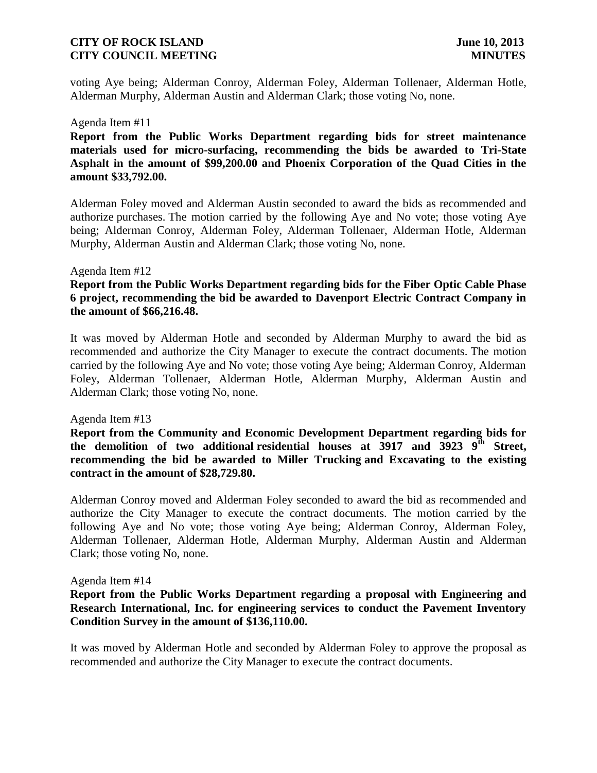voting Aye being; Alderman Conroy, Alderman Foley, Alderman Tollenaer, Alderman Hotle, Alderman Murphy, Alderman Austin and Alderman Clark; those voting No, none.

#### Agenda Item #11

**Report from the Public Works Department regarding bids for street maintenance materials used for micro-surfacing, recommending the bids be awarded to Tri-State Asphalt in the amount of \$99,200.00 and Phoenix Corporation of the Quad Cities in the amount \$33,792.00.**

Alderman Foley moved and Alderman Austin seconded to award the bids as recommended and authorize purchases. The motion carried by the following Aye and No vote; those voting Aye being; Alderman Conroy, Alderman Foley, Alderman Tollenaer, Alderman Hotle, Alderman Murphy, Alderman Austin and Alderman Clark; those voting No, none.

#### Agenda Item #12

### **Report from the Public Works Department regarding bids for the Fiber Optic Cable Phase 6 project, recommending the bid be awarded to Davenport Electric Contract Company in the amount of \$66,216.48.**

It was moved by Alderman Hotle and seconded by Alderman Murphy to award the bid as recommended and authorize the City Manager to execute the contract documents. The motion carried by the following Aye and No vote; those voting Aye being; Alderman Conroy, Alderman Foley, Alderman Tollenaer, Alderman Hotle, Alderman Murphy, Alderman Austin and Alderman Clark; those voting No, none.

#### Agenda Item #13

**Report from the Community and Economic Development Department regarding bids for the demolition of two additional residential houses at 3917 and 3923 9th Street, recommending the bid be awarded to Miller Trucking and Excavating to the existing contract in the amount of \$28,729.80.**

Alderman Conroy moved and Alderman Foley seconded to award the bid as recommended and authorize the City Manager to execute the contract documents. The motion carried by the following Aye and No vote; those voting Aye being; Alderman Conroy, Alderman Foley, Alderman Tollenaer, Alderman Hotle, Alderman Murphy, Alderman Austin and Alderman Clark; those voting No, none.

#### Agenda Item #14

### **Report from the Public Works Department regarding a proposal with Engineering and Research International, Inc. for engineering services to conduct the Pavement Inventory Condition Survey in the amount of \$136,110.00.**

It was moved by Alderman Hotle and seconded by Alderman Foley to approve the proposal as recommended and authorize the City Manager to execute the contract documents.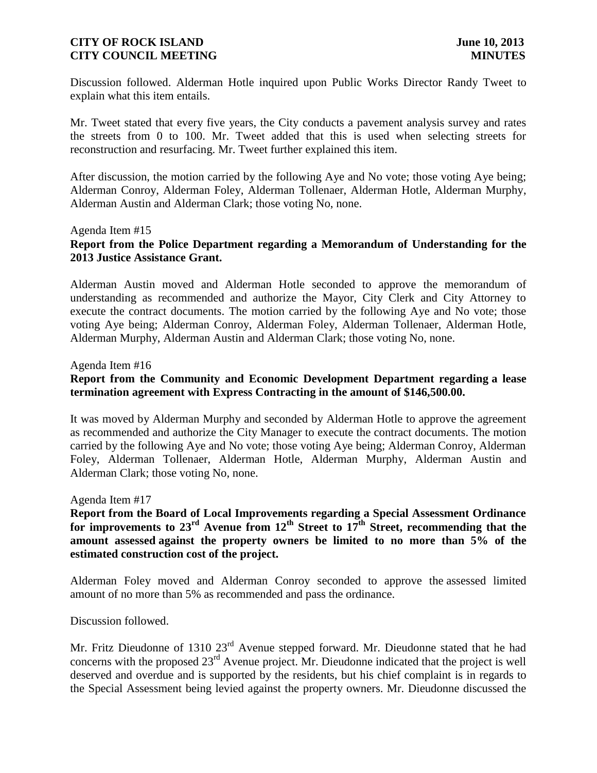Discussion followed. Alderman Hotle inquired upon Public Works Director Randy Tweet to explain what this item entails.

Mr. Tweet stated that every five years, the City conducts a pavement analysis survey and rates the streets from 0 to 100. Mr. Tweet added that this is used when selecting streets for reconstruction and resurfacing. Mr. Tweet further explained this item.

After discussion, the motion carried by the following Aye and No vote; those voting Aye being; Alderman Conroy, Alderman Foley, Alderman Tollenaer, Alderman Hotle, Alderman Murphy, Alderman Austin and Alderman Clark; those voting No, none.

#### Agenda Item #15

# **Report from the Police Department regarding a Memorandum of Understanding for the 2013 Justice Assistance Grant.**

Alderman Austin moved and Alderman Hotle seconded to approve the memorandum of understanding as recommended and authorize the Mayor, City Clerk and City Attorney to execute the contract documents. The motion carried by the following Aye and No vote; those voting Aye being; Alderman Conroy, Alderman Foley, Alderman Tollenaer, Alderman Hotle, Alderman Murphy, Alderman Austin and Alderman Clark; those voting No, none.

#### Agenda Item #16

# **Report from the Community and Economic Development Department regarding a lease termination agreement with Express Contracting in the amount of \$146,500.00.**

It was moved by Alderman Murphy and seconded by Alderman Hotle to approve the agreement as recommended and authorize the City Manager to execute the contract documents. The motion carried by the following Aye and No vote; those voting Aye being; Alderman Conroy, Alderman Foley, Alderman Tollenaer, Alderman Hotle, Alderman Murphy, Alderman Austin and Alderman Clark; those voting No, none.

#### Agenda Item #17

**Report from the Board of Local Improvements regarding a Special Assessment Ordinance for improvements to 23rd Avenue from 12th Street to 17th Street, recommending that the amount assessed against the property owners be limited to no more than 5% of the estimated construction cost of the project.**

Alderman Foley moved and Alderman Conroy seconded to approve the assessed limited amount of no more than 5% as recommended and pass the ordinance.

#### Discussion followed.

Mr. Fritz Dieudonne of 1310 23<sup>rd</sup> Avenue stepped forward. Mr. Dieudonne stated that he had concerns with the proposed 23rd Avenue project. Mr. Dieudonne indicated that the project is well deserved and overdue and is supported by the residents, but his chief complaint is in regards to the Special Assessment being levied against the property owners. Mr. Dieudonne discussed the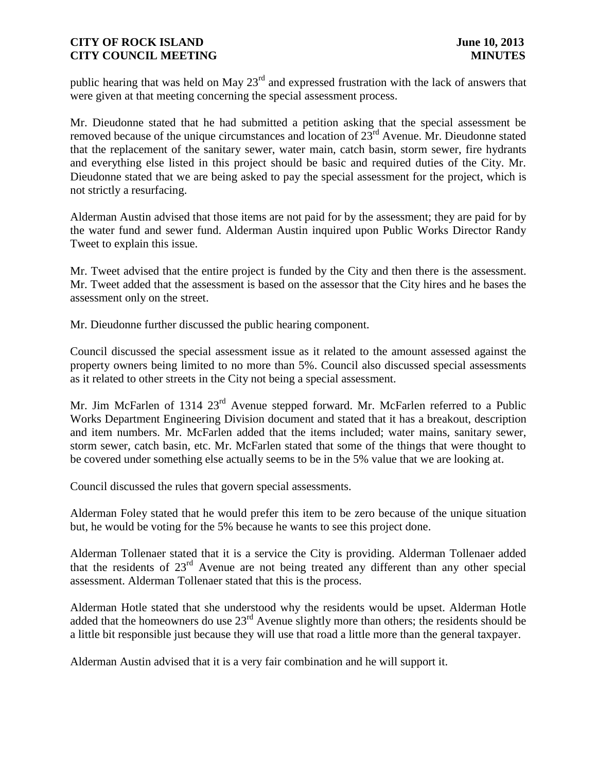public hearing that was held on May  $23<sup>rd</sup>$  and expressed frustration with the lack of answers that were given at that meeting concerning the special assessment process.

Mr. Dieudonne stated that he had submitted a petition asking that the special assessment be removed because of the unique circumstances and location of  $23<sup>rd</sup>$  Avenue. Mr. Dieudonne stated that the replacement of the sanitary sewer, water main, catch basin, storm sewer, fire hydrants and everything else listed in this project should be basic and required duties of the City. Mr. Dieudonne stated that we are being asked to pay the special assessment for the project, which is not strictly a resurfacing.

Alderman Austin advised that those items are not paid for by the assessment; they are paid for by the water fund and sewer fund. Alderman Austin inquired upon Public Works Director Randy Tweet to explain this issue.

Mr. Tweet advised that the entire project is funded by the City and then there is the assessment. Mr. Tweet added that the assessment is based on the assessor that the City hires and he bases the assessment only on the street.

Mr. Dieudonne further discussed the public hearing component.

Council discussed the special assessment issue as it related to the amount assessed against the property owners being limited to no more than 5%. Council also discussed special assessments as it related to other streets in the City not being a special assessment.

Mr. Jim McFarlen of 1314 23<sup>rd</sup> Avenue stepped forward. Mr. McFarlen referred to a Public Works Department Engineering Division document and stated that it has a breakout, description and item numbers. Mr. McFarlen added that the items included; water mains, sanitary sewer, storm sewer, catch basin, etc. Mr. McFarlen stated that some of the things that were thought to be covered under something else actually seems to be in the 5% value that we are looking at.

Council discussed the rules that govern special assessments.

Alderman Foley stated that he would prefer this item to be zero because of the unique situation but, he would be voting for the 5% because he wants to see this project done.

Alderman Tollenaer stated that it is a service the City is providing. Alderman Tollenaer added that the residents of 23rd Avenue are not being treated any different than any other special assessment. Alderman Tollenaer stated that this is the process.

Alderman Hotle stated that she understood why the residents would be upset. Alderman Hotle added that the homeowners do use 23rd Avenue slightly more than others; the residents should be a little bit responsible just because they will use that road a little more than the general taxpayer.

Alderman Austin advised that it is a very fair combination and he will support it.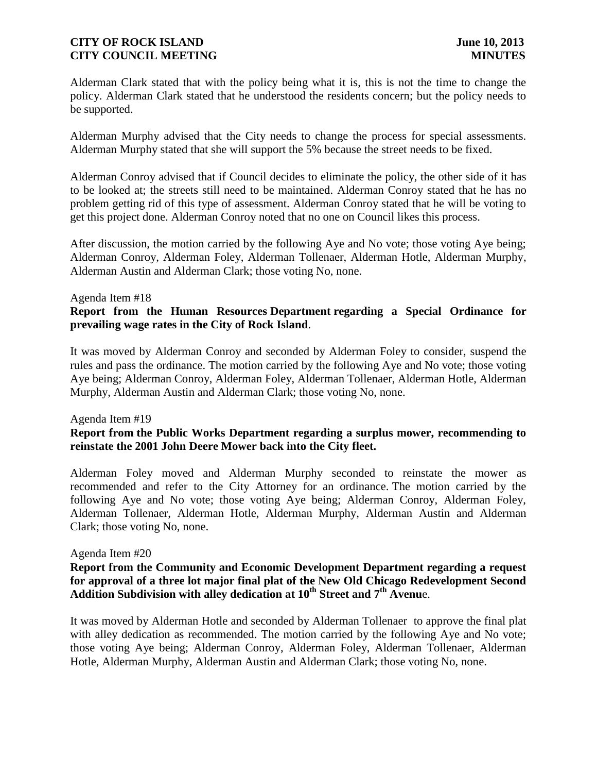Alderman Clark stated that with the policy being what it is, this is not the time to change the policy. Alderman Clark stated that he understood the residents concern; but the policy needs to be supported.

Alderman Murphy advised that the City needs to change the process for special assessments. Alderman Murphy stated that she will support the 5% because the street needs to be fixed.

Alderman Conroy advised that if Council decides to eliminate the policy, the other side of it has to be looked at; the streets still need to be maintained. Alderman Conroy stated that he has no problem getting rid of this type of assessment. Alderman Conroy stated that he will be voting to get this project done. Alderman Conroy noted that no one on Council likes this process.

After discussion, the motion carried by the following Aye and No vote; those voting Aye being; Alderman Conroy, Alderman Foley, Alderman Tollenaer, Alderman Hotle, Alderman Murphy, Alderman Austin and Alderman Clark; those voting No, none.

#### Agenda Item #18

# **Report from the Human Resources Department regarding a Special Ordinance for prevailing wage rates in the City of Rock Island**.

It was moved by Alderman Conroy and seconded by Alderman Foley to consider, suspend the rules and pass the ordinance. The motion carried by the following Aye and No vote; those voting Aye being; Alderman Conroy, Alderman Foley, Alderman Tollenaer, Alderman Hotle, Alderman Murphy, Alderman Austin and Alderman Clark; those voting No, none.

#### Agenda Item #19

# **Report from the Public Works Department regarding a surplus mower, recommending to reinstate the 2001 John Deere Mower back into the City fleet.**

Alderman Foley moved and Alderman Murphy seconded to reinstate the mower as recommended and refer to the City Attorney for an ordinance. The motion carried by the following Aye and No vote; those voting Aye being; Alderman Conroy, Alderman Foley, Alderman Tollenaer, Alderman Hotle, Alderman Murphy, Alderman Austin and Alderman Clark; those voting No, none.

#### Agenda Item #20

## **Report from the Community and Economic Development Department regarding a request for approval of a three lot major final plat of the New Old Chicago Redevelopment Second Addition Subdivision with alley dedication at 10th Street and 7th Avenu**e.

It was moved by Alderman Hotle and seconded by Alderman Tollenaer to approve the final plat with alley dedication as recommended. The motion carried by the following Aye and No vote; those voting Aye being; Alderman Conroy, Alderman Foley, Alderman Tollenaer, Alderman Hotle, Alderman Murphy, Alderman Austin and Alderman Clark; those voting No, none.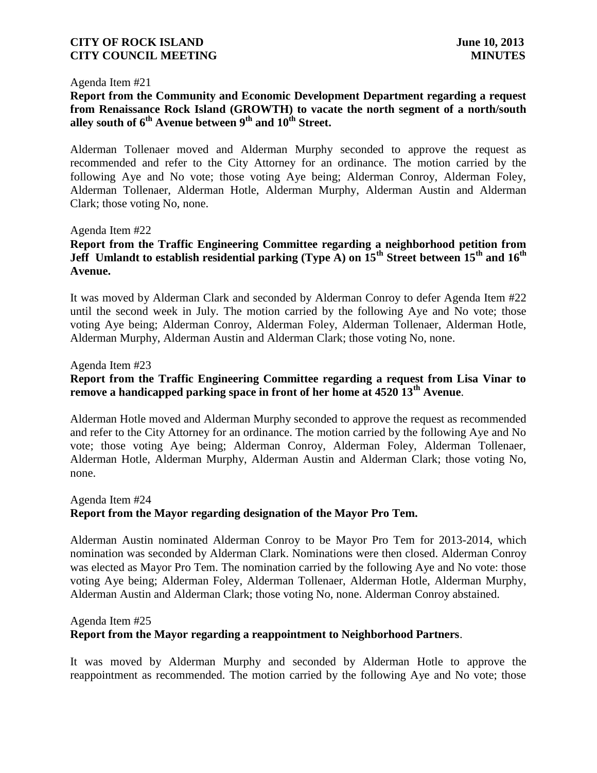#### Agenda Item #21

# **Report from the Community and Economic Development Department regarding a request from Renaissance Rock Island (GROWTH) to vacate the north segment of a north/south alley south of 6th Avenue between 9th and 10th Street.**

Alderman Tollenaer moved and Alderman Murphy seconded to approve the request as recommended and refer to the City Attorney for an ordinance. The motion carried by the following Aye and No vote; those voting Aye being; Alderman Conroy, Alderman Foley, Alderman Tollenaer, Alderman Hotle, Alderman Murphy, Alderman Austin and Alderman Clark; those voting No, none.

#### Agenda Item #22

# **Report from the Traffic Engineering Committee regarding a neighborhood petition from Jeff Umlandt to establish residential parking (Type A) on 15th Street between 15th and 16th Avenue.**

It was moved by Alderman Clark and seconded by Alderman Conroy to defer Agenda Item #22 until the second week in July. The motion carried by the following Aye and No vote; those voting Aye being; Alderman Conroy, Alderman Foley, Alderman Tollenaer, Alderman Hotle, Alderman Murphy, Alderman Austin and Alderman Clark; those voting No, none.

#### Agenda Item #23

# **Report from the Traffic Engineering Committee regarding a request from Lisa Vinar to remove a handicapped parking space in front of her home at 4520 13th Avenue**.

Alderman Hotle moved and Alderman Murphy seconded to approve the request as recommended and refer to the City Attorney for an ordinance. The motion carried by the following Aye and No vote; those voting Aye being; Alderman Conroy, Alderman Foley, Alderman Tollenaer, Alderman Hotle, Alderman Murphy, Alderman Austin and Alderman Clark; those voting No, none.

### Agenda Item #24 **Report from the Mayor regarding designation of the Mayor Pro Tem.**

Alderman Austin nominated Alderman Conroy to be Mayor Pro Tem for 2013-2014, which nomination was seconded by Alderman Clark. Nominations were then closed. Alderman Conroy was elected as Mayor Pro Tem. The nomination carried by the following Aye and No vote: those voting Aye being; Alderman Foley, Alderman Tollenaer, Alderman Hotle, Alderman Murphy, Alderman Austin and Alderman Clark; those voting No, none. Alderman Conroy abstained.

#### Agenda Item #25

### **Report from the Mayor regarding a reappointment to Neighborhood Partners**.

It was moved by Alderman Murphy and seconded by Alderman Hotle to approve the reappointment as recommended. The motion carried by the following Aye and No vote; those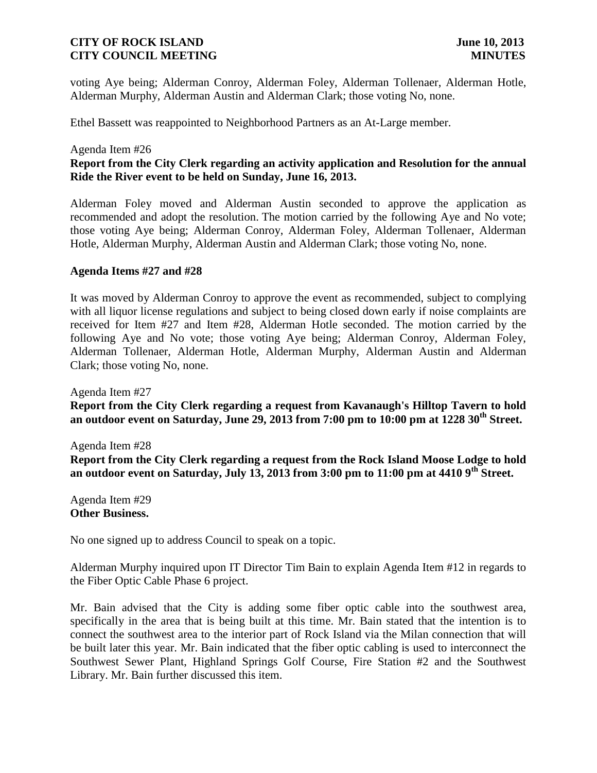voting Aye being; Alderman Conroy, Alderman Foley, Alderman Tollenaer, Alderman Hotle, Alderman Murphy, Alderman Austin and Alderman Clark; those voting No, none.

Ethel Bassett was reappointed to Neighborhood Partners as an At-Large member.

#### Agenda Item #26

# **Report from the City Clerk regarding an activity application and Resolution for the annual Ride the River event to be held on Sunday, June 16, 2013.**

Alderman Foley moved and Alderman Austin seconded to approve the application as recommended and adopt the resolution. The motion carried by the following Aye and No vote; those voting Aye being; Alderman Conroy, Alderman Foley, Alderman Tollenaer, Alderman Hotle, Alderman Murphy, Alderman Austin and Alderman Clark; those voting No, none.

#### **Agenda Items #27 and #28**

It was moved by Alderman Conroy to approve the event as recommended, subject to complying with all liquor license regulations and subject to being closed down early if noise complaints are received for Item #27 and Item #28, Alderman Hotle seconded. The motion carried by the following Aye and No vote; those voting Aye being; Alderman Conroy, Alderman Foley, Alderman Tollenaer, Alderman Hotle, Alderman Murphy, Alderman Austin and Alderman Clark; those voting No, none.

Agenda Item #27 **Report from the City Clerk regarding a request from Kavanaugh's Hilltop Tavern to hold an outdoor event on Saturday, June 29, 2013 from 7:00 pm to 10:00 pm at 1228 30th Street.**

Agenda Item #28 **Report from the City Clerk regarding a request from the Rock Island Moose Lodge to hold an outdoor event on Saturday, July 13, 2013 from 3:00 pm to 11:00 pm at 4410 9th Street.**

Agenda Item #29 **Other Business.**

No one signed up to address Council to speak on a topic.

Alderman Murphy inquired upon IT Director Tim Bain to explain Agenda Item #12 in regards to the Fiber Optic Cable Phase 6 project.

Mr. Bain advised that the City is adding some fiber optic cable into the southwest area, specifically in the area that is being built at this time. Mr. Bain stated that the intention is to connect the southwest area to the interior part of Rock Island via the Milan connection that will be built later this year. Mr. Bain indicated that the fiber optic cabling is used to interconnect the Southwest Sewer Plant, Highland Springs Golf Course, Fire Station #2 and the Southwest Library. Mr. Bain further discussed this item.